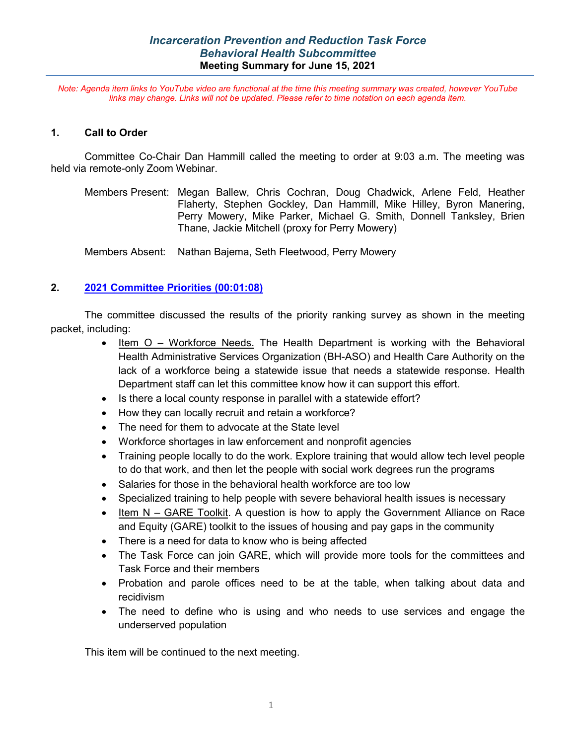*Note: Agenda item links to YouTube video are functional at the time this meeting summary was created, however YouTube links may change. Links will not be updated. Please refer to time notation on each agenda item.*

#### **1. Call to Order**

Committee Co-Chair Dan Hammill called the meeting to order at 9:03 a.m. The meeting was held via remote-only Zoom Webinar.

Members Present: Megan Ballew, Chris Cochran, Doug Chadwick, Arlene Feld, Heather Flaherty, Stephen Gockley, Dan Hammill, Mike Hilley, Byron Manering, Perry Mowery, Mike Parker, Michael G. Smith, Donnell Tanksley, Brien Thane, Jackie Mitchell (proxy for Perry Mowery)

Members Absent: Nathan Bajema, Seth Fleetwood, Perry Mowery

#### **2. [2021 Committee Priorities](https://youtu.be/C1QnQHfm56k?list=PL8OuJOt5jT9qfmpjQ562L2KL685E3KxC2&t=67) (00:01:08)**

The committee discussed the results of the priority ranking survey as shown in the meeting packet, including:

- Item O Workforce Needs. The Health Department is working with the Behavioral Health Administrative Services Organization (BH-ASO) and Health Care Authority on the lack of a workforce being a statewide issue that needs a statewide response. Health Department staff can let this committee know how it can support this effort.
- Is there a local county response in parallel with a statewide effort?
- How they can locally recruit and retain a workforce?
- The need for them to advocate at the State level
- Workforce shortages in law enforcement and nonprofit agencies
- Training people locally to do the work. Explore training that would allow tech level people to do that work, and then let the people with social work degrees run the programs
- Salaries for those in the behavioral health workforce are too low
- Specialized training to help people with severe behavioral health issues is necessary
- Item N GARE Toolkit. A question is how to apply the Government Alliance on Race and Equity (GARE) toolkit to the issues of housing and pay gaps in the community
- There is a need for data to know who is being affected
- The Task Force can join GARE, which will provide more tools for the committees and Task Force and their members
- Probation and parole offices need to be at the table, when talking about data and recidivism
- The need to define who is using and who needs to use services and engage the underserved population

This item will be continued to the next meeting.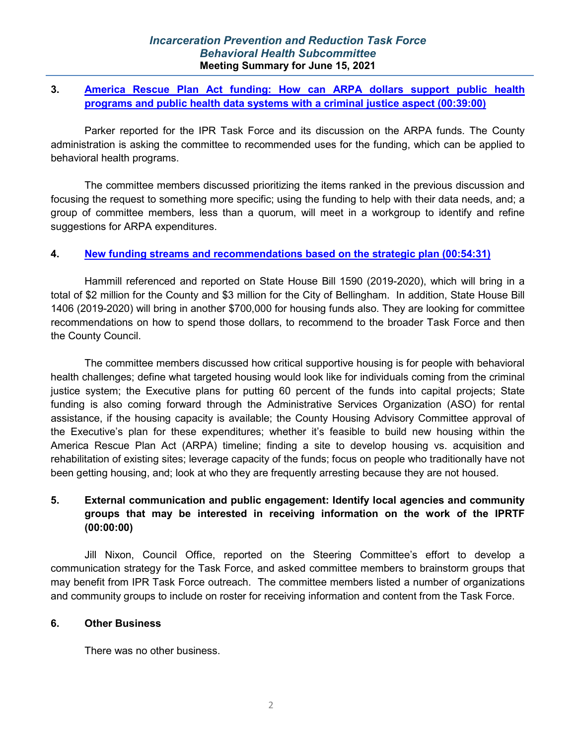### **3. [America Rescue Plan Act funding: How can ARPA dollars support public health](https://youtu.be/C1QnQHfm56k?list=PL8OuJOt5jT9qfmpjQ562L2KL685E3KxC2&t=2341)  [programs and public health data systems with a criminal justice aspect](https://youtu.be/C1QnQHfm56k?list=PL8OuJOt5jT9qfmpjQ562L2KL685E3KxC2&t=2341) (00:39:00)**

Parker reported for the IPR Task Force and its discussion on the ARPA funds. The County administration is asking the committee to recommended uses for the funding, which can be applied to behavioral health programs.

The committee members discussed prioritizing the items ranked in the previous discussion and focusing the request to something more specific; using the funding to help with their data needs, and; a group of committee members, less than a quorum, will meet in a workgroup to identify and refine suggestions for ARPA expenditures.

### **4. [New funding streams and recommendations based on the strategic plan](https://youtu.be/C1QnQHfm56k?list=PL8OuJOt5jT9qfmpjQ562L2KL685E3KxC2&t=3270) (00:54:31)**

Hammill referenced and reported on State House Bill 1590 (2019-2020), which will bring in a total of \$2 million for the County and \$3 million for the City of Bellingham. In addition, State House Bill 1406 (2019-2020) will bring in another \$700,000 for housing funds also. They are looking for committee recommendations on how to spend those dollars, to recommend to the broader Task Force and then the County Council.

The committee members discussed how critical supportive housing is for people with behavioral health challenges; define what targeted housing would look like for individuals coming from the criminal justice system; the Executive plans for putting 60 percent of the funds into capital projects; State funding is also coming forward through the Administrative Services Organization (ASO) for rental assistance, if the housing capacity is available; the County Housing Advisory Committee approval of the Executive's plan for these expenditures; whether it's feasible to build new housing within the America Rescue Plan Act (ARPA) timeline; finding a site to develop housing vs. acquisition and rehabilitation of existing sites; leverage capacity of the funds; focus on people who traditionally have not been getting housing, and; look at who they are frequently arresting because they are not housed.

## **5. External communication and public engagement: Identify local agencies and community groups that may be interested in receiving information on the work of the IPRTF (00:00:00)**

Jill Nixon, Council Office, reported on the Steering Committee's effort to develop a communication strategy for the Task Force, and asked committee members to brainstorm groups that may benefit from IPR Task Force outreach. The committee members listed a number of organizations and community groups to include on roster for receiving information and content from the Task Force.

#### **6. Other Business**

There was no other business.